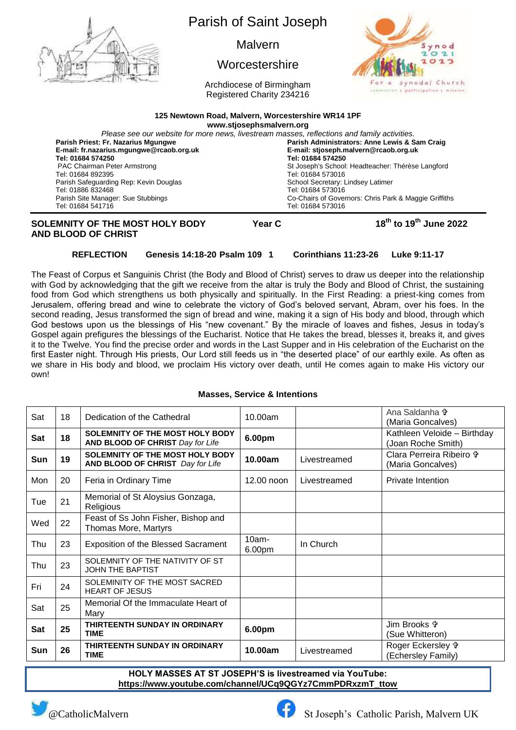

**Tel: 01684 574250 Tel: 01684 574250** PAC Chairman Peter Armstrong Tel: 01684 892395 St Joseph's School: Headteacher: Thérèse Langford Tel: 01684 573016 Parish Safeguarding Rep: Kevin Douglas Tel: 01886 832468 School Secretary: Lindsey Latimer Tel: 01684 573016 Parish Site Manager: Sue Stubbings Tel: 01684 541716 Co-Chairs of Governors: Chris Park & Maggie Griffiths Tel: 01684 573016

# **SOLEMNITY OF THE MOST HOLY BODY Year C AND BLOOD OF CHRIST**

**th to 19 th June 2022**

# **REFLECTION Genesis 14:18-20 Psalm 109 1 Corinthians 11:23-26 Luke 9:11-17**

The Feast of Corpus et Sanguinis Christ (the Body and Blood of Christ) serves to draw us deeper into the relationship with God by acknowledging that the gift we receive from the altar is truly the Body and Blood of Christ, the sustaining food from God which strengthens us both physically and spiritually. In the First Reading: a priest-king comes from Jerusalem, offering bread and wine to celebrate the victory of God's beloved servant, Abram, over his foes. In the second reading, Jesus transformed the sign of bread and wine, making it a sign of His body and blood, through which God bestows upon us the blessings of His "new covenant." By the miracle of loaves and fishes, Jesus in today's Gospel again prefigures the blessings of the Eucharist. Notice that He takes the bread, blesses it, breaks it, and gives it to the Twelve. You find the precise order and words in the Last Supper and in His celebration of the Eucharist on the first Easter night. Through His priests, Our Lord still feeds us in "the deserted place" of our earthly exile. As often as we share in His body and blood, we proclaim His victory over death, until He comes again to make His victory our own!

#### **Masses, Service & Intentions**

| Sat        | 18 | Dedication of the Cathedral                                         | 10.00am            |              | Ana Saldanha +<br>(Maria Goncalves)                |
|------------|----|---------------------------------------------------------------------|--------------------|--------------|----------------------------------------------------|
| <b>Sat</b> | 18 | SOLEMNITY OF THE MOST HOLY BODY<br>AND BLOOD OF CHRIST Day for Life | 6.00pm             |              | Kathleen Veloide - Birthday<br>(Joan Roche Smith)  |
| <b>Sun</b> | 19 | SOLEMNITY OF THE MOST HOLY BODY<br>AND BLOOD OF CHRIST Day for Life | 10.00am            | Livestreamed | Clara Perreira Ribeiro \$<br>(Maria Goncalves)     |
| Mon        | 20 | Feria in Ordinary Time                                              | 12.00 noon         | Livestreamed | <b>Private Intention</b>                           |
| Tue        | 21 | Memorial of St Aloysius Gonzaga,<br>Religious                       |                    |              |                                                    |
| Wed        | 22 | Feast of Ss John Fisher, Bishop and<br>Thomas More, Martyrs         |                    |              |                                                    |
| Thu        | 23 | <b>Exposition of the Blessed Sacrament</b>                          | $10am -$<br>6.00pm | In Church    |                                                    |
| Thu        | 23 | SOLEMNITY OF THE NATIVITY OF ST<br><b>JOHN THE BAPTIST</b>          |                    |              |                                                    |
| Fri        | 24 | SOLEMINITY OF THE MOST SACRED<br><b>HEART OF JESUS</b>              |                    |              |                                                    |
| Sat        | 25 | Memorial Of the Immaculate Heart of<br>Mary                         |                    |              |                                                    |
| Sat        | 25 | THIRTEENTH SUNDAY IN ORDINARY<br><b>TIME</b>                        | 6.00pm             |              | Jim Brooks <sup>+</sup><br>(Sue Whitteron)         |
| Sun        | 26 | THIRTEENTH SUNDAY IN ORDINARY<br>TIME                               | 10.00am            | Livestreamed | Roger Eckersley <sup>®</sup><br>(Echersley Family) |

**HOLY MASSES AT ST JOSEPH'S is livestreamed via YouTube: [https://www.youtube.com/channel/UCq9QGYz7CmmPDRxzmT\\_ttow](https://www.youtube.com/channel/UCq9QGYz7CmmPDRxzmT_ttow)**